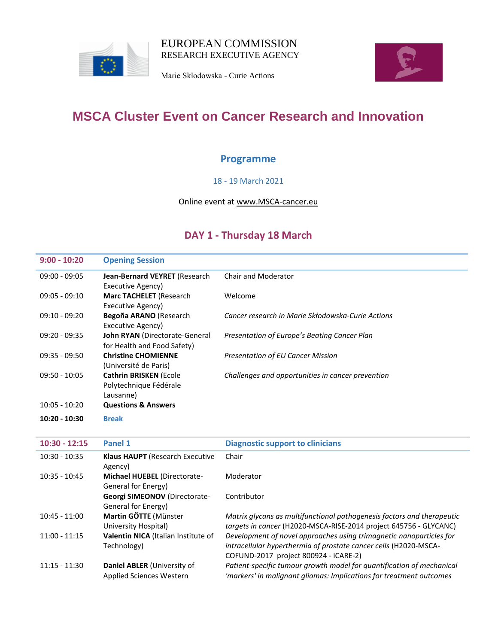

Marie Skłodowska - Curie Actions



## **MSCA Cluster Event on Cancer Research and Innovation**

### **Programme**

### 18 - 19 March 2021

#### Online event at [www.MSCA-cancer.eu](http://www.msca-cancer.eu/)

### **DAY 1 - Thursday 18 March**

| $9:00 - 10:20$  | <b>Opening Session</b>                                               |                                                   |
|-----------------|----------------------------------------------------------------------|---------------------------------------------------|
| $09:00 - 09:05$ | Jean-Bernard VEYRET (Research<br>Executive Agency)                   | Chair and Moderator                               |
| $09:05 - 09:10$ | <b>Marc TACHELET</b> (Research<br>Executive Agency)                  | Welcome                                           |
| $09:10 - 09:20$ | Begoña ARANO (Research<br>Executive Agency)                          | Cancer research in Marie Skłodowska-Curie Actions |
| $09:20 - 09:35$ | John RYAN (Directorate-General<br>for Health and Food Safety)        | Presentation of Europe's Beating Cancer Plan      |
| $09:35 - 09:50$ | <b>Christine CHOMIENNE</b><br>(Université de Paris)                  | <b>Presentation of EU Cancer Mission</b>          |
| $09:50 - 10:05$ | <b>Cathrin BRISKEN (Ecole</b><br>Polytechnique Fédérale<br>Lausanne) | Challenges and opportunities in cancer prevention |
| $10:05 - 10:20$ | <b>Questions &amp; Answers</b>                                       |                                                   |
| $10:20 - 10:30$ | <b>Break</b>                                                         |                                                   |

| $10:30 - 12:15$ | Panel 1                                                        | <b>Diagnostic support to clinicians</b>                                                                                                                                          |
|-----------------|----------------------------------------------------------------|----------------------------------------------------------------------------------------------------------------------------------------------------------------------------------|
| $10:30 - 10:35$ | <b>Klaus HAUPT</b> (Research Executive<br>Agency)              | Chair                                                                                                                                                                            |
| $10:35 - 10:45$ | <b>Michael HUEBEL (Directorate-</b><br>General for Energy)     | Moderator                                                                                                                                                                        |
|                 | <b>Georgi SIMEONOV (Directorate-</b><br>General for Energy)    | Contributor                                                                                                                                                                      |
| $10:45 - 11:00$ | Martin GÖTTE (Münster<br>University Hospital)                  | Matrix glycans as multifunctional pathogenesis factors and therapeutic<br>targets in cancer (H2020-MSCA-RISE-2014 project 645756 - GLYCANC)                                      |
| $11:00 - 11:15$ | Valentin NICA (Italian Institute of<br>Technology)             | Development of novel approaches using trimagnetic nanoparticles for<br>intracellular hyperthermia of prostate cancer cells (H2020-MSCA-<br>COFUND-2017 project 800924 - iCARE-2) |
| $11:15 - 11:30$ | Daniel ABLER (University of<br><b>Applied Sciences Western</b> | Patient-specific tumour growth model for quantification of mechanical<br>'markers' in malignant gliomas: Implications for treatment outcomes                                     |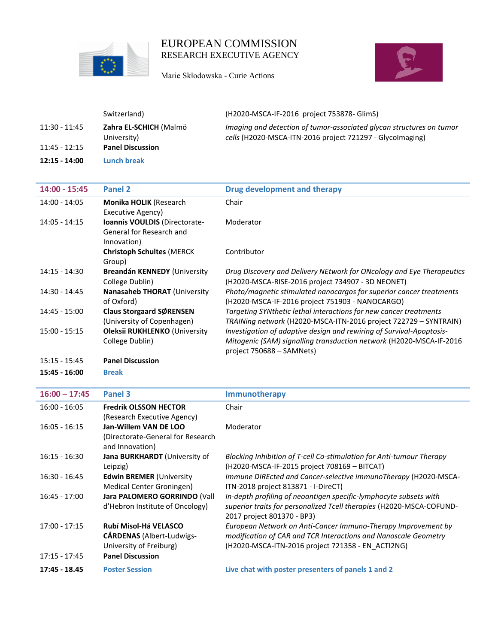

Marie Skłodowska - Curie Actions



|                 | Switzerland)                          | (H2020-MSCA-IF-2016 project 753878- GlimS)                                                                                        |
|-----------------|---------------------------------------|-----------------------------------------------------------------------------------------------------------------------------------|
| 11:30 - 11:45   | Zahra EL-SCHICH (Malmö<br>University) | Imaging and detection of tumor-associated glycan structures on tumor<br>cells (H2020-MSCA-ITN-2016 project 721297 - Glycolmaging) |
| $11:45 - 12:15$ | <b>Panel Discussion</b>               |                                                                                                                                   |
| 12:15 - 14:00   | Lunch break                           |                                                                                                                                   |

| $14:00 - 15:45$ | <b>Panel 2</b>                                                           | <b>Drug development and therapy</b>                                                                                                                                      |
|-----------------|--------------------------------------------------------------------------|--------------------------------------------------------------------------------------------------------------------------------------------------------------------------|
| 14:00 - 14:05   | <b>Monika HOLIK (Research</b><br>Executive Agency)                       | Chair                                                                                                                                                                    |
| 14:05 - 14:15   | Ioannis VOULDIS (Directorate-<br>General for Research and<br>Innovation) | Moderator                                                                                                                                                                |
|                 | <b>Christoph Schultes (MERCK</b><br>Group)                               | Contributor                                                                                                                                                              |
| $14:15 - 14:30$ | Breandán KENNEDY (University<br>College Dublin)                          | Drug Discovery and Delivery NEtwork for ONcology and Eye Therapeutics<br>(H2020-MSCA-RISE-2016 project 734907 - 3D NEONET)                                               |
| $14:30 - 14:45$ | <b>Nanasaheb THORAT (University)</b><br>of Oxford)                       | Photo/magnetic stimulated nanocargos for superior cancer treatments<br>(H2020-MSCA-IF-2016 project 751903 - NANOCARGO)                                                   |
| 14:45 - 15:00   | <b>Claus Storgaard SØRENSEN</b><br>(University of Copenhagen)            | Targeting SYNthetic lethal interactions for new cancer treatments<br>TRAINing network (H2020-MSCA-ITN-2016 project 722729 - SYNTRAIN)                                    |
| $15:00 - 15:15$ | <b>Oleksii RUKHLENKO (University</b><br>College Dublin)                  | Investigation of adaptive design and rewiring of Survival-Apoptosis-<br>Mitogenic (SAM) signalling transduction network (H2020-MSCA-IF-2016<br>project 750688 – SAMNets) |
| $15:15 - 15:45$ | <b>Panel Discussion</b>                                                  |                                                                                                                                                                          |
| 15:45 - 16:00   | <b>Break</b>                                                             |                                                                                                                                                                          |

| $16:00 - 17:45$ | Panel 3                                                                              | <b>Immunotherapy</b>                                                                                                                                                                  |
|-----------------|--------------------------------------------------------------------------------------|---------------------------------------------------------------------------------------------------------------------------------------------------------------------------------------|
| $16:00 - 16:05$ | <b>Fredrik OLSSON HECTOR</b><br>(Research Executive Agency)                          | Chair                                                                                                                                                                                 |
| $16:05 - 16:15$ | Jan-Willem VAN DE LOO<br>(Directorate-General for Research<br>and Innovation)        | Moderator                                                                                                                                                                             |
| $16:15 - 16:30$ | Jana BURKHARDT (University of<br>Leipzig)                                            | Blocking Inhibition of T-cell Co-stimulation for Anti-tumour Therapy<br>(H2020-MSCA-IF-2015 project 708169 - BITCAT)                                                                  |
| $16:30 - 16:45$ | <b>Edwin BREMER (University</b><br>Medical Center Groningen)                         | Immune DIREcted and Cancer-selective immunoTherapy (H2020-MSCA-<br>ITN-2018 project 813871 - I-DireCT)                                                                                |
| $16:45 - 17:00$ | Jara PALOMERO GORRINDO (Vall<br>d'Hebron Institute of Oncology)                      | In-depth profiling of neoantigen specific-lymphocyte subsets with<br>superior traits for personalized Tcell therapies (H2020-MSCA-COFUND-<br>2017 project 801370 - BP3)               |
| $17:00 - 17:15$ | Rubí Misol-Há VELASCO<br><b>CARDENAS</b> (Albert-Ludwigs-<br>University of Freiburg) | European Network on Anti-Cancer Immuno-Therapy Improvement by<br>modification of CAR and TCR Interactions and Nanoscale Geometry<br>(H2020-MSCA-ITN-2016 project 721358 - EN ACTI2NG) |
| $17:15 - 17:45$ | <b>Panel Discussion</b>                                                              |                                                                                                                                                                                       |
| 17:45 - 18.45   | <b>Poster Session</b>                                                                | Live chat with poster presenters of panels 1 and 2                                                                                                                                    |
|                 |                                                                                      |                                                                                                                                                                                       |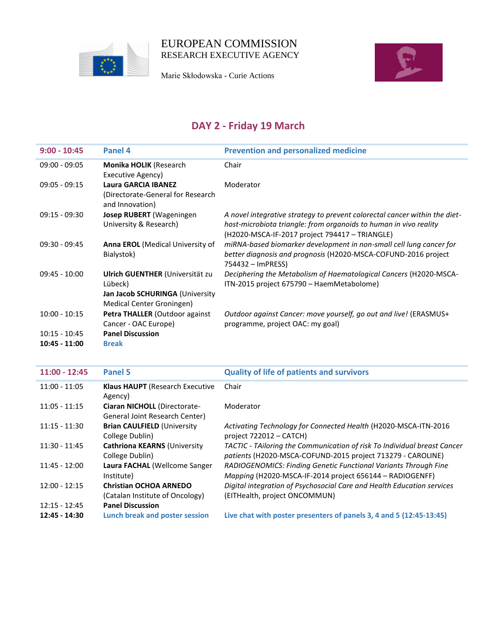

Marie Skłodowska - Curie Actions



# **DAY 2 - Friday 19 March**

| $9:00 - 10:45$                     | Panel 4                                                                                                    | <b>Prevention and personalized medicine</b>                                                                                                                                                       |
|------------------------------------|------------------------------------------------------------------------------------------------------------|---------------------------------------------------------------------------------------------------------------------------------------------------------------------------------------------------|
| $09:00 - 09:05$                    | Monika HOLIK (Research<br>Executive Agency)                                                                | Chair                                                                                                                                                                                             |
| $09:05 - 09:15$                    | Laura GARCIA IBANEZ<br>(Directorate-General for Research<br>and Innovation)                                | Moderator                                                                                                                                                                                         |
| $09:15 - 09:30$                    | <b>Josep RUBERT</b> (Wageningen<br>University & Research)                                                  | A novel integrative strategy to prevent colorectal cancer within the diet-<br>host-microbiota triangle: from organoids to human in vivo reality<br>(H2020-MSCA-IF-2017 project 794417 - TRIANGLE) |
| $09:30 - 09:45$                    | <b>Anna EROL</b> (Medical University of<br>Bialystok)                                                      | miRNA-based biomarker development in non-small cell lung cancer for<br>better diagnosis and prognosis (H2020-MSCA-COFUND-2016 project<br>754432 - ImPRESS)                                        |
| $09:45 - 10:00$                    | Ulrich GUENTHER (Universität zu<br>Lübeck)<br>Jan Jacob SCHURINGA (University<br>Medical Center Groningen) | Deciphering the Metabolism of Haematological Cancers (H2020-MSCA-<br>ITN-2015 project 675790 - HaemMetabolome)                                                                                    |
| $10:00 - 10:15$                    | Petra THALLER (Outdoor against<br>Cancer - OAC Europe)                                                     | Outdoor against Cancer: move yourself, go out and live! (ERASMUS+<br>programme, project OAC: my goal)                                                                                             |
| $10:15 - 10:45$<br>$10:45 - 11:00$ | <b>Panel Discussion</b><br><b>Break</b>                                                                    |                                                                                                                                                                                                   |

| $11:00 - 12:45$ | Panel 5                                                          | <b>Quality of life of patients and survivors</b>                                                                                        |
|-----------------|------------------------------------------------------------------|-----------------------------------------------------------------------------------------------------------------------------------------|
| $11:00 - 11:05$ | <b>Klaus HAUPT</b> (Research Executive<br>Agency)                | Chair                                                                                                                                   |
| $11:05 - 11:15$ | Ciaran NICHOLL (Directorate-<br>General Joint Research Center)   | Moderator                                                                                                                               |
| $11:15 - 11:30$ | <b>Brian CAULFIELD (University</b><br>College Dublin)            | Activating Technology for Connected Health (H2020-MSCA-ITN-2016<br>project $722012 - CATCH$                                             |
| 11:30 - 11:45   | <b>Cathriona KEARNS (University</b><br>College Dublin)           | TACTIC - TAiloring the Communication of risk To Individual breast Cancer<br>patients (H2020-MSCA-COFUND-2015 project 713279 - CAROLINE) |
| $11:45 - 12:00$ | Laura FACHAL (Wellcome Sanger<br>Institute)                      | RADIOGENOMICS: Finding Genetic Functional Variants Through Fine<br>Mapping (H2020-MSCA-IF-2014 project 656144 – RADIOGENFF)             |
| $12:00 - 12:15$ | <b>Christian OCHOA ARNEDO</b><br>(Catalan Institute of Oncology) | Digital integration of Psychosocial Care and Health Education services<br>(EITHealth, project ONCOMMUN)                                 |
| $12:15 - 12:45$ | <b>Panel Discussion</b>                                          |                                                                                                                                         |
| $12:45 - 14:30$ | Lunch break and poster session                                   | Live chat with poster presenters of panels 3, 4 and 5 (12:45-13:45)                                                                     |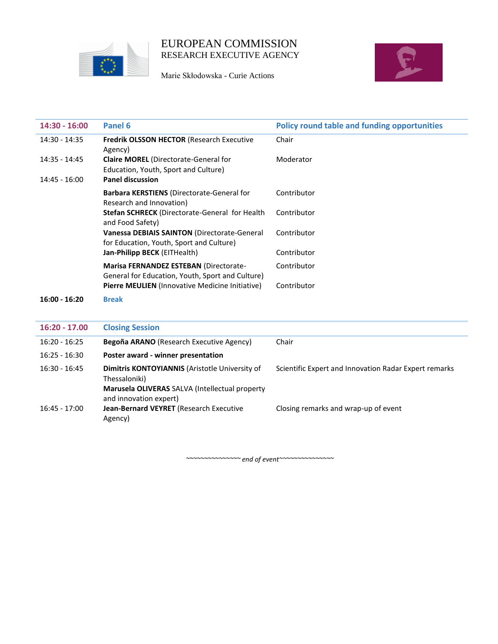

Marie Skłodowska - Curie Actions



| $14:30 - 16:00$ | Panel 6                                                                                    | <b>Policy round table and funding opportunities</b> |
|-----------------|--------------------------------------------------------------------------------------------|-----------------------------------------------------|
| 14:30 - 14:35   | <b>Fredrik OLSSON HECTOR (Research Executive</b><br>Agency)                                | Chair                                               |
| $14:35 - 14:45$ | <b>Claire MOREL</b> (Directorate-General for<br>Education, Youth, Sport and Culture)       | Moderator                                           |
| $14:45 - 16:00$ | <b>Panel discussion</b>                                                                    |                                                     |
|                 | <b>Barbara KERSTIENS</b> (Directorate-General for<br>Research and Innovation)              | Contributor                                         |
|                 | Stefan SCHRECK (Directorate-General for Health<br>and Food Safety)                         | Contributor                                         |
|                 | Vanessa DEBIAIS SAINTON (Directorate-General<br>for Education, Youth, Sport and Culture)   | Contributor                                         |
|                 | Jan-Philipp BECK (EITHealth)                                                               | Contributor                                         |
|                 | Marisa FERNANDEZ ESTEBAN (Directorate-<br>General for Education, Youth, Sport and Culture) | Contributor                                         |
|                 | Pierre MEULIEN (Innovative Medicine Initiative)                                            | Contributor                                         |
| $16:00 - 16:20$ | <b>Break</b>                                                                               |                                                     |
| $16:20 - 17.00$ | <b>Closing Session</b>                                                                     |                                                     |
| $16:20 - 16:25$ | Begoña ARANO (Research Executive Agency)                                                   | Chair                                               |

| Poster award - winner presentation                                                                                |                                                       |
|-------------------------------------------------------------------------------------------------------------------|-------------------------------------------------------|
| Dimitris KONTOYIANNIS (Aristotle University of<br>Thessaloniki)<br>Marusela OLIVERAS SALVA (Intellectual property | Scientific Expert and Innovation Radar Expert remarks |
| Jean-Bernard VEYRET (Research Executive<br>Agency)                                                                | Closing remarks and wrap-up of event                  |
|                                                                                                                   | and innovation expert)                                |

*~~~~~~~~~~~~~~~ end of event~~~~~~~~~~~~~~~*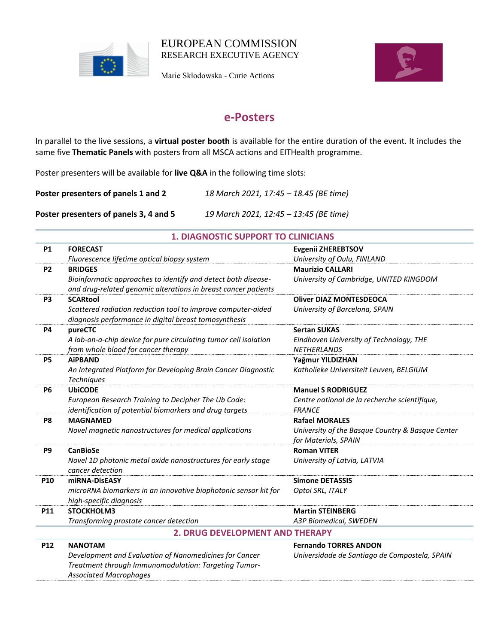

Marie Skłodowska - Curie Actions



## **e-Posters**

In parallel to the live sessions, a **virtual poster booth** is available for the entire duration of the event. It includes the same five **Thematic Panels** with posters from all MSCA actions and EITHealth programme.

Poster presenters will be available for **live Q&A** in the following time slots:

**Poster presenters of panels 1 and 2** *18 March 2021, 17:45 – 18.45 (BE time)*

**Poster presenters of panels 3, 4 and 5** *19 March 2021, 12:45 – 13:45 (BE time)*

| <b>P1</b>      | <b>FORECAST</b>                                                                                                                 | <b>Evgenii ZHEREBTSOV</b>                                     |
|----------------|---------------------------------------------------------------------------------------------------------------------------------|---------------------------------------------------------------|
|                | Fluorescence lifetime optical biopsy system                                                                                     | University of Oulu, FINLAND                                   |
| <b>P2</b>      | <b>BRIDGES</b>                                                                                                                  | <b>Maurizio CALLARI</b>                                       |
|                | Bioinformatic approaches to identify and detect both disease-<br>and drug-related genomic alterations in breast cancer patients | University of Cambridge, UNITED KINGDOM                       |
| P <sub>3</sub> | <b>SCARtool</b>                                                                                                                 | <b>Oliver DIAZ MONTESDEOCA</b>                                |
|                | Scattered radiation reduction tool to improve computer-aided<br>diagnosis performance in digital breast tomosynthesis           | University of Barcelona, SPAIN                                |
| <b>P4</b>      | pureCTC                                                                                                                         | <b>Sertan SUKAS</b>                                           |
|                | A lab-on-a-chip device for pure circulating tumor cell isolation<br>from whole blood for cancer therapy                         | Eindhoven University of Technology, THE<br><b>NETHERLANDS</b> |
| <b>P5</b>      | <b>AiPBAND</b>                                                                                                                  | Yağmur YILDIZHAN                                              |
|                | An Integrated Platform for Developing Brain Cancer Diagnostic<br>Techniques                                                     | Katholieke Universiteit Leuven, BELGIUM                       |
| <b>P6</b>      | <b>UbiCODE</b>                                                                                                                  | <b>Manuel S RODRIGUEZ</b>                                     |
|                | European Research Training to Decipher The Ub Code:                                                                             | Centre national de la recherche scientifique,                 |
|                | identification of potential biomarkers and drug targets                                                                         | <b>FRANCE</b>                                                 |
| P <sub>8</sub> | <b>MAGNAMED</b>                                                                                                                 | <b>Rafael MORALES</b>                                         |
|                | Novel magnetic nanostructures for medical applications                                                                          | University of the Basque Country & Basque Center              |
|                |                                                                                                                                 | for Materials, SPAIN                                          |
| P9             | <b>CanBioSe</b>                                                                                                                 | <b>Roman VITER</b>                                            |
|                | Novel 1D photonic metal oxide nanostructures for early stage<br>cancer detection                                                | University of Latvia, LATVIA                                  |
| P10            | miRNA-DisEASY                                                                                                                   | <b>Simone DETASSIS</b>                                        |
|                | microRNA biomarkers in an innovative biophotonic sensor kit for                                                                 | Optoi SRL, ITALY                                              |
|                | high-specific diagnosis                                                                                                         |                                                               |
| P11            | STOCKHOLM3                                                                                                                      | <b>Martin STEINBERG</b>                                       |
|                | Transforming prostate cancer detection                                                                                          | A3P Biomedical, SWEDEN                                        |
|                | <b>2. DRUG DEVELOPMENT AND THERAPY</b>                                                                                          |                                                               |
| <b>P12</b>     | <b>NANOTAM</b>                                                                                                                  | <b>Fernando TORRES ANDON</b>                                  |
|                | Development and Evaluation of Nanomedicines for Cancer                                                                          | Universidade de Santiago de Compostela, SPAIN                 |
|                | Treatment through Immunomodulation: Targeting Tumor-                                                                            |                                                               |
|                | <b>Associated Macrophages</b>                                                                                                   |                                                               |

#### **1. DIAGNOSTIC SUPPORT TO CLINICIANS**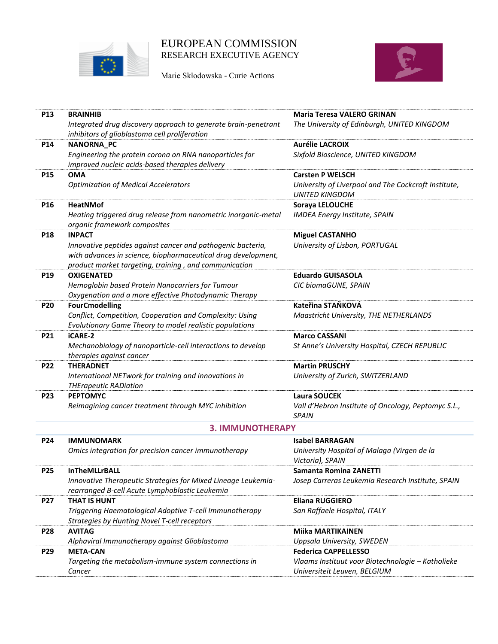

Marie Skłodowska - Curie Actions



| <b>P13</b>      | <b>BRAINHIB</b>                                                                                                                                                                       | <b>Maria Teresa VALERO GRINAN</b>                                             |
|-----------------|---------------------------------------------------------------------------------------------------------------------------------------------------------------------------------------|-------------------------------------------------------------------------------|
|                 | Integrated drug discovery approach to generate brain-penetrant<br>inhibitors of glioblastoma cell proliferation                                                                       | The University of Edinburgh, UNITED KINGDOM                                   |
| P14             | NANORNA_PC                                                                                                                                                                            | <b>Aurélie LACROIX</b>                                                        |
|                 | Engineering the protein corona on RNA nanoparticles for<br>improved nucleic acids-based therapies delivery                                                                            | Sixfold Bioscience, UNITED KINGDOM                                            |
| <b>P15</b>      | <b>OMA</b>                                                                                                                                                                            | <b>Carsten P WELSCH</b>                                                       |
|                 | <b>Optimization of Medical Accelerators</b>                                                                                                                                           | University of Liverpool and The Cockcroft Institute,<br><b>UNITED KINGDOM</b> |
| P <sub>16</sub> | <b>HeatNMof</b>                                                                                                                                                                       | Soraya LELOUCHE                                                               |
|                 | Heating triggered drug release from nanometric inorganic-metal<br>organic framework composites                                                                                        | IMDEA Energy Institute, SPAIN                                                 |
| <b>P18</b>      | <b>INPACT</b>                                                                                                                                                                         | <b>Miguel CASTANHO</b>                                                        |
|                 | Innovative peptides against cancer and pathogenic bacteria,<br>with advances in science, biopharmaceutical drug development,<br>product market targeting, training, and communication | University of Lisbon, PORTUGAL                                                |
| P <sub>19</sub> | <b>OXIGENATED</b>                                                                                                                                                                     | <b>Eduardo GUISASOLA</b>                                                      |
|                 | Hemoglobin based Protein Nanocarriers for Tumour                                                                                                                                      | CIC biomaGUNE, SPAIN                                                          |
|                 | Oxygenation and a more effective Photodynamic Therapy                                                                                                                                 |                                                                               |
| <b>P20</b>      | <b>FourCmodelling</b>                                                                                                                                                                 | Kateřina STAŇKOVÁ                                                             |
|                 | Conflict, Competition, Cooperation and Complexity: Using<br>Evolutionary Game Theory to model realistic populations                                                                   | Maastricht University, THE NETHERLANDS                                        |
| <b>P21</b>      | <b>iCARE-2</b>                                                                                                                                                                        | <b>Marco CASSANI</b>                                                          |
|                 | Mechanobiology of nanoparticle-cell interactions to develop<br>therapies against cancer                                                                                               | St Anne's University Hospital, CZECH REPUBLIC                                 |
| P22             | <b>THERADNET</b>                                                                                                                                                                      | <b>Martin PRUSCHY</b>                                                         |
|                 | International NETwork for training and innovations in<br><b>THErapeutic RADiation</b>                                                                                                 | University of Zurich, SWITZERLAND                                             |
| P23             | <b>PEPTOMYC</b>                                                                                                                                                                       | <b>Laura SOUCEK</b>                                                           |
|                 | Reimagining cancer treatment through MYC inhibition                                                                                                                                   | Vall d'Hebron Institute of Oncology, Peptomyc S.L.,<br><b>SPAIN</b>           |
|                 | <b>3. IMMUNOTHERAPY</b>                                                                                                                                                               |                                                                               |
| <b>P24</b>      | <b>IMMUNOMARK</b>                                                                                                                                                                     | <b>Isabel BARRAGAN</b>                                                        |
|                 | Omics integration for precision cancer immunotherapy                                                                                                                                  | University Hospital of Malaga (Virgen de la<br>Victoria), SPAIN               |
| P25             | <b>InTheMLLrBALL</b>                                                                                                                                                                  | Samanta Romina ZANETTI                                                        |
|                 | Innovative Therapeutic Strategies for Mixed Lineage Leukemia-<br>rearranged B-cell Acute Lymphoblastic Leukemia                                                                       | Josep Carreras Leukemia Research Institute, SPAIN                             |
| <b>P27</b>      | <b>THAT IS HUNT</b>                                                                                                                                                                   | Eliana RUGGIERO                                                               |
|                 | Triggering Haematological Adoptive T-cell Immunotherapy<br>Strategies by Hunting Novel T-cell receptors                                                                               | San Raffaele Hospital, ITALY                                                  |
| <b>P28</b>      | <b>AVITAG</b>                                                                                                                                                                         | <b>Miika MARTIKAINEN</b>                                                      |
|                 | Alphaviral Immunotherapy against Glioblastoma                                                                                                                                         | Uppsala University, SWEDEN                                                    |
| P29             | <b>META-CAN</b>                                                                                                                                                                       | <b>Federica CAPPELLESSO</b>                                                   |
|                 | Targeting the metabolism-immune system connections in                                                                                                                                 | Vlaams Instituut voor Biotechnologie - Katholieke                             |
|                 | Cancer                                                                                                                                                                                | Universiteit Leuven, BELGIUM                                                  |